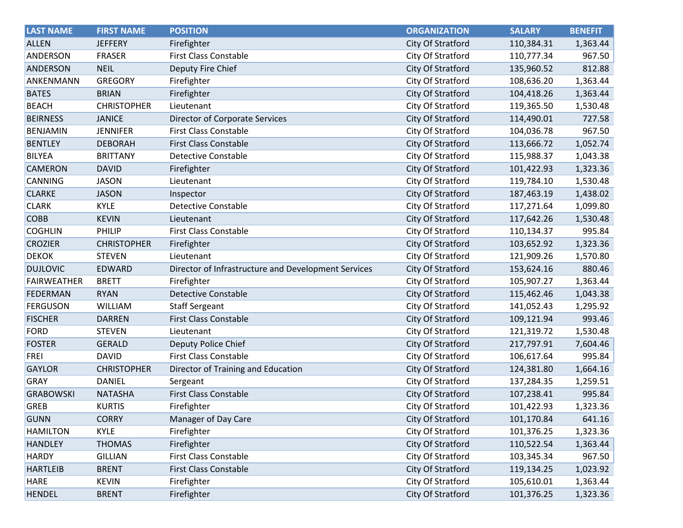| <b>LAST NAME</b>   | <b>FIRST NAME</b>  | <b>POSITION</b>                                     | <b>ORGANIZATION</b> | <b>SALARY</b> | <b>BENEFIT</b> |
|--------------------|--------------------|-----------------------------------------------------|---------------------|---------------|----------------|
| <b>ALLEN</b>       | <b>JEFFERY</b>     | Firefighter                                         | City Of Stratford   | 110,384.31    | 1,363.44       |
| <b>ANDERSON</b>    | <b>FRASER</b>      | <b>First Class Constable</b>                        | City Of Stratford   | 110,777.34    | 967.50         |
| ANDERSON           | <b>NEIL</b>        | Deputy Fire Chief                                   | City Of Stratford   | 135,960.52    | 812.88         |
| ANKENMANN          | <b>GREGORY</b>     | Firefighter                                         | City Of Stratford   | 108,636.20    | 1,363.44       |
| <b>BATES</b>       | <b>BRIAN</b>       | Firefighter                                         | City Of Stratford   | 104,418.26    | 1,363.44       |
| <b>BEACH</b>       | <b>CHRISTOPHER</b> | Lieutenant                                          | City Of Stratford   | 119,365.50    | 1,530.48       |
| <b>BEIRNESS</b>    | <b>JANICE</b>      | Director of Corporate Services                      | City Of Stratford   | 114,490.01    | 727.58         |
| <b>BENJAMIN</b>    | <b>JENNIFER</b>    | <b>First Class Constable</b>                        | City Of Stratford   | 104,036.78    | 967.50         |
| <b>BENTLEY</b>     | <b>DEBORAH</b>     | <b>First Class Constable</b>                        | City Of Stratford   | 113,666.72    | 1,052.74       |
| <b>BILYEA</b>      | <b>BRITTANY</b>    | <b>Detective Constable</b>                          | City Of Stratford   | 115,988.37    | 1,043.38       |
| <b>CAMERON</b>     | <b>DAVID</b>       | Firefighter                                         | City Of Stratford   | 101,422.93    | 1,323.36       |
| <b>CANNING</b>     | <b>JASON</b>       | Lieutenant                                          | City Of Stratford   | 119,784.10    | 1,530.48       |
| <b>CLARKE</b>      | <b>JASON</b>       | Inspector                                           | City Of Stratford   | 187,463.19    | 1,438.02       |
| <b>CLARK</b>       | <b>KYLE</b>        | <b>Detective Constable</b>                          | City Of Stratford   | 117,271.64    | 1,099.80       |
| <b>COBB</b>        | <b>KEVIN</b>       | Lieutenant                                          | City Of Stratford   | 117,642.26    | 1,530.48       |
| <b>COGHLIN</b>     | PHILIP             | <b>First Class Constable</b>                        | City Of Stratford   | 110,134.37    | 995.84         |
| <b>CROZIER</b>     | <b>CHRISTOPHER</b> | Firefighter                                         | City Of Stratford   | 103,652.92    | 1,323.36       |
| <b>DEKOK</b>       | <b>STEVEN</b>      | Lieutenant                                          | City Of Stratford   | 121,909.26    | 1,570.80       |
| <b>DUJLOVIC</b>    | <b>EDWARD</b>      | Director of Infrastructure and Development Services | City Of Stratford   | 153,624.16    | 880.46         |
| <b>FAIRWEATHER</b> | <b>BRETT</b>       | Firefighter                                         | City Of Stratford   | 105,907.27    | 1,363.44       |
| <b>FEDERMAN</b>    | <b>RYAN</b>        | <b>Detective Constable</b>                          | City Of Stratford   | 115,462.46    | 1,043.38       |
| <b>FERGUSON</b>    | WILLIAM            | <b>Staff Sergeant</b>                               | City Of Stratford   | 141,052.43    | 1,295.92       |
| <b>FISCHER</b>     | <b>DARREN</b>      | <b>First Class Constable</b>                        | City Of Stratford   | 109,121.94    | 993.46         |
| <b>FORD</b>        | <b>STEVEN</b>      | Lieutenant                                          | City Of Stratford   | 121,319.72    | 1,530.48       |
| <b>FOSTER</b>      | <b>GERALD</b>      | Deputy Police Chief                                 | City Of Stratford   | 217,797.91    | 7,604.46       |
| <b>FREI</b>        | <b>DAVID</b>       | <b>First Class Constable</b>                        | City Of Stratford   | 106,617.64    | 995.84         |
| <b>GAYLOR</b>      | <b>CHRISTOPHER</b> | Director of Training and Education                  | City Of Stratford   | 124,381.80    | 1,664.16       |
| <b>GRAY</b>        | <b>DANIEL</b>      | Sergeant                                            | City Of Stratford   | 137,284.35    | 1,259.51       |
| <b>GRABOWSKI</b>   | <b>NATASHA</b>     | <b>First Class Constable</b>                        | City Of Stratford   | 107,238.41    | 995.84         |
| <b>GREB</b>        | <b>KURTIS</b>      | Firefighter                                         | City Of Stratford   | 101,422.93    | 1,323.36       |
| <b>GUNN</b>        | <b>CORRY</b>       | Manager of Day Care                                 | City Of Stratford   | 101,170.84    | 641.16         |
| <b>HAMILTON</b>    | <b>KYLE</b>        | Firefighter                                         | City Of Stratford   | 101,376.25    | 1,323.36       |
| <b>HANDLEY</b>     | <b>THOMAS</b>      | Firefighter                                         | City Of Stratford   | 110,522.54    | 1,363.44       |
| <b>HARDY</b>       | <b>GILLIAN</b>     | First Class Constable                               | City Of Stratford   | 103,345.34    | 967.50         |
| <b>HARTLEIB</b>    | <b>BRENT</b>       | <b>First Class Constable</b>                        | City Of Stratford   | 119,134.25    | 1,023.92       |
| <b>HARE</b>        | <b>KEVIN</b>       | Firefighter                                         | City Of Stratford   | 105,610.01    | 1,363.44       |
| <b>HENDEL</b>      | <b>BRENT</b>       | Firefighter                                         | City Of Stratford   | 101,376.25    | 1,323.36       |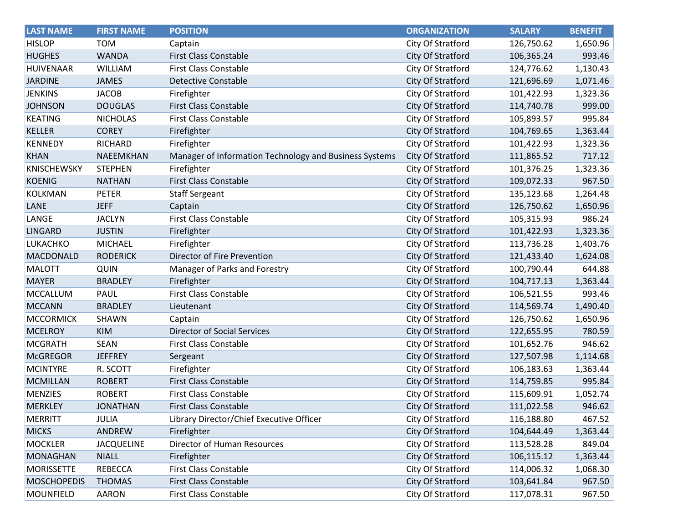| <b>LAST NAME</b>   | <b>FIRST NAME</b> | <b>POSITION</b>                                        | <b>ORGANIZATION</b>      | <b>SALARY</b> | <b>BENEFIT</b> |
|--------------------|-------------------|--------------------------------------------------------|--------------------------|---------------|----------------|
| <b>HISLOP</b>      | <b>TOM</b>        | Captain                                                | City Of Stratford        | 126,750.62    | 1,650.96       |
| <b>HUGHES</b>      | <b>WANDA</b>      | <b>First Class Constable</b>                           | City Of Stratford        | 106,365.24    | 993.46         |
| <b>HUIVENAAR</b>   | <b>WILLIAM</b>    | <b>First Class Constable</b>                           | City Of Stratford        | 124,776.62    | 1,130.43       |
| <b>JARDINE</b>     | <b>JAMES</b>      | <b>Detective Constable</b>                             | City Of Stratford        | 121,696.69    | 1,071.46       |
| <b>JENKINS</b>     | <b>JACOB</b>      | Firefighter                                            | City Of Stratford        | 101,422.93    | 1,323.36       |
| <b>JOHNSON</b>     | <b>DOUGLAS</b>    | <b>First Class Constable</b>                           | City Of Stratford        | 114,740.78    | 999.00         |
| <b>KEATING</b>     | <b>NICHOLAS</b>   | <b>First Class Constable</b>                           | City Of Stratford        | 105,893.57    | 995.84         |
| <b>KELLER</b>      | <b>COREY</b>      | Firefighter                                            | City Of Stratford        | 104,769.65    | 1,363.44       |
| <b>KENNEDY</b>     | <b>RICHARD</b>    | Firefighter                                            | City Of Stratford        | 101,422.93    | 1,323.36       |
| <b>KHAN</b>        | NAEEMKHAN         | Manager of Information Technology and Business Systems | City Of Stratford        | 111,865.52    | 717.12         |
| <b>KNISCHEWSKY</b> | <b>STEPHEN</b>    | Firefighter                                            | City Of Stratford        | 101,376.25    | 1,323.36       |
| <b>KOENIG</b>      | <b>NATHAN</b>     | <b>First Class Constable</b>                           | City Of Stratford        | 109,072.33    | 967.50         |
| <b>KOLKMAN</b>     | <b>PETER</b>      | <b>Staff Sergeant</b>                                  | City Of Stratford        | 135,123.68    | 1,264.48       |
| LANE               | <b>JEFF</b>       | Captain                                                | City Of Stratford        | 126,750.62    | 1,650.96       |
| LANGE              | <b>JACLYN</b>     | <b>First Class Constable</b>                           | City Of Stratford        | 105,315.93    | 986.24         |
| <b>LINGARD</b>     | <b>JUSTIN</b>     | Firefighter                                            | City Of Stratford        | 101,422.93    | 1,323.36       |
| LUKACHKO           | <b>MICHAEL</b>    | Firefighter                                            | City Of Stratford        | 113,736.28    | 1,403.76       |
| MACDONALD          | <b>RODERICK</b>   | Director of Fire Prevention                            | <b>City Of Stratford</b> | 121,433.40    | 1,624.08       |
| <b>MALOTT</b>      | QUIN              | Manager of Parks and Forestry                          | City Of Stratford        | 100,790.44    | 644.88         |
| <b>MAYER</b>       | <b>BRADLEY</b>    | Firefighter                                            | City Of Stratford        | 104,717.13    | 1,363.44       |
| MCCALLUM           | PAUL              | First Class Constable                                  | City Of Stratford        | 106,521.55    | 993.46         |
| <b>MCCANN</b>      | <b>BRADLEY</b>    | Lieutenant                                             | City Of Stratford        | 114,569.74    | 1,490.40       |
| <b>MCCORMICK</b>   | SHAWN             | Captain                                                | City Of Stratford        | 126,750.62    | 1,650.96       |
| <b>MCELROY</b>     | <b>KIM</b>        | <b>Director of Social Services</b>                     | City Of Stratford        | 122,655.95    | 780.59         |
| <b>MCGRATH</b>     | <b>SEAN</b>       | <b>First Class Constable</b>                           | City Of Stratford        | 101,652.76    | 946.62         |
| <b>McGREGOR</b>    | <b>JEFFREY</b>    | Sergeant                                               | City Of Stratford        | 127,507.98    | 1,114.68       |
| <b>MCINTYRE</b>    | R. SCOTT          | Firefighter                                            | City Of Stratford        | 106,183.63    | 1,363.44       |
| <b>MCMILLAN</b>    | <b>ROBERT</b>     | <b>First Class Constable</b>                           | City Of Stratford        | 114,759.85    | 995.84         |
| <b>MENZIES</b>     | <b>ROBERT</b>     | <b>First Class Constable</b>                           | City Of Stratford        | 115,609.91    | 1,052.74       |
| <b>MERKLEY</b>     | <b>JONATHAN</b>   | First Class Constable                                  | City Of Stratford        | 111,022.58    | 946.62         |
| <b>MERRITT</b>     | JULIA             | Library Director/Chief Executive Officer               | City Of Stratford        | 116,188.80    | 467.52         |
| <b>MICKS</b>       | ANDREW            | Firefighter                                            | City Of Stratford        | 104,644.49    | 1,363.44       |
| <b>MOCKLER</b>     | <b>JACQUELINE</b> | Director of Human Resources                            | City Of Stratford        | 113,528.28    | 849.04         |
| <b>MONAGHAN</b>    | <b>NIALL</b>      | Firefighter                                            | City Of Stratford        | 106,115.12    | 1,363.44       |
| <b>MORISSETTE</b>  | <b>REBECCA</b>    | <b>First Class Constable</b>                           | City Of Stratford        | 114,006.32    | 1,068.30       |
| <b>MOSCHOPEDIS</b> | <b>THOMAS</b>     | <b>First Class Constable</b>                           | City Of Stratford        | 103,641.84    | 967.50         |
| MOUNFIELD          | <b>AARON</b>      | <b>First Class Constable</b>                           | City Of Stratford        | 117,078.31    | 967.50         |